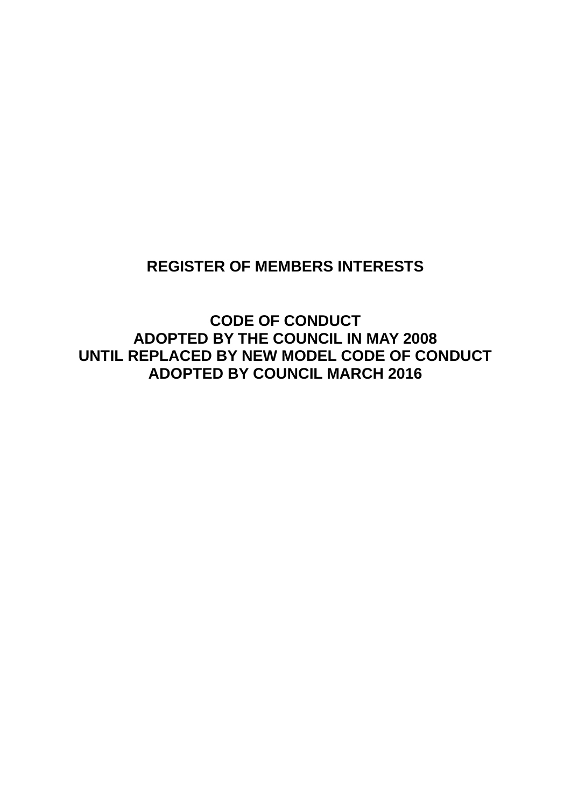## **REGISTER OF MEMBERS INTERESTS**

**CODE OF CONDUCT ADOPTED BY THE COUNCIL IN MAY 2008 UNTIL REPLACED BY NEW MODEL CODE OF CONDUCT ADOPTED BY COUNCIL MARCH 2016**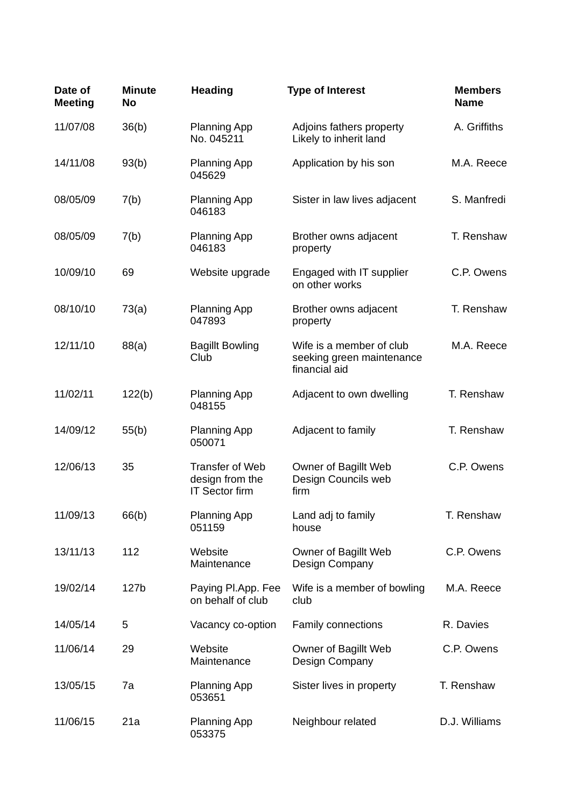| Date of<br><b>Meeting</b> | <b>Minute</b><br>No | <b>Heading</b>                                                     | <b>Type of Interest</b>                                                | <b>Members</b><br><b>Name</b> |
|---------------------------|---------------------|--------------------------------------------------------------------|------------------------------------------------------------------------|-------------------------------|
| 11/07/08                  | 36(b)               | <b>Planning App</b><br>No. 045211                                  | Adjoins fathers property<br>Likely to inherit land                     | A. Griffiths                  |
| 14/11/08                  | 93(b)               | <b>Planning App</b><br>045629                                      | Application by his son                                                 | M.A. Reece                    |
| 08/05/09                  | 7(b)                | <b>Planning App</b><br>046183                                      | Sister in law lives adjacent                                           | S. Manfredi                   |
| 08/05/09                  | 7(b)                | <b>Planning App</b><br>046183                                      | Brother owns adjacent<br>property                                      | T. Renshaw                    |
| 10/09/10                  | 69                  | Website upgrade                                                    | Engaged with IT supplier<br>on other works                             | C.P. Owens                    |
| 08/10/10                  | 73(a)               | <b>Planning App</b><br>047893                                      | Brother owns adjacent<br>property                                      | T. Renshaw                    |
| 12/11/10                  | 88(a)               | <b>Bagillt Bowling</b><br>Club                                     | Wife is a member of club<br>seeking green maintenance<br>financial aid | M.A. Reece                    |
| 11/02/11                  | 122(b)              | <b>Planning App</b><br>048155                                      | Adjacent to own dwelling                                               | T. Renshaw                    |
| 14/09/12                  | 55(b)               | <b>Planning App</b><br>050071                                      | Adjacent to family                                                     | T. Renshaw                    |
| 12/06/13                  | 35                  | <b>Transfer of Web</b><br>design from the<br><b>IT Sector firm</b> | Owner of Bagillt Web<br>Design Councils web<br>firm                    | C.P. Owens                    |
| 11/09/13                  | 66(b)               | <b>Planning App</b><br>051159                                      | Land adj to family<br>house                                            | T. Renshaw                    |
| 13/11/13                  | 112                 | Website<br>Maintenance                                             | Owner of Bagillt Web<br>Design Company                                 | C.P. Owens                    |
| 19/02/14                  | 127b                | Paying Pl.App. Fee<br>on behalf of club                            | Wife is a member of bowling<br>club                                    | M.A. Reece                    |
| 14/05/14                  | 5                   | Vacancy co-option                                                  | <b>Family connections</b>                                              | R. Davies                     |
| 11/06/14                  | 29                  | Website<br>Maintenance                                             | Owner of Bagillt Web<br>Design Company                                 | C.P. Owens                    |
| 13/05/15                  | 7a                  | <b>Planning App</b><br>053651                                      | Sister lives in property                                               | T. Renshaw                    |
| 11/06/15                  | 21a                 | <b>Planning App</b><br>053375                                      | Neighbour related                                                      | D.J. Williams                 |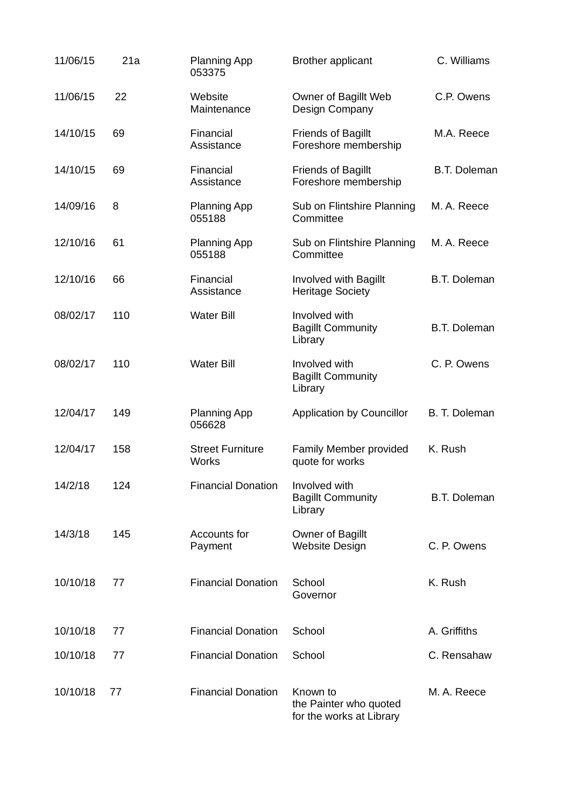| 11/06/15 | 21a | <b>Planning App</b><br>053375           | <b>Brother applicant</b>                                       | C. Williams         |
|----------|-----|-----------------------------------------|----------------------------------------------------------------|---------------------|
| 11/06/15 | 22  | Website<br>Maintenance                  | Owner of Bagillt Web<br>Design Company                         | C.P. Owens          |
| 14/10/15 | 69  | Financial<br>Assistance                 | <b>Friends of Bagillt</b><br>Foreshore membership              | M.A. Reece          |
| 14/10/15 | 69  | Financial<br>Assistance                 | <b>Friends of Bagillt</b><br>Foreshore membership              | <b>B.T. Doleman</b> |
| 14/09/16 | 8   | <b>Planning App</b><br>055188           | Sub on Flintshire Planning<br>Committee                        | M. A. Reece         |
| 12/10/16 | 61  | <b>Planning App</b><br>055188           | Sub on Flintshire Planning<br>Committee                        | M. A. Reece         |
| 12/10/16 | 66  | Financial<br>Assistance                 | Involved with Bagillt<br><b>Heritage Society</b>               | <b>B.T. Doleman</b> |
| 08/02/17 | 110 | <b>Water Bill</b>                       | Involved with<br><b>Bagillt Community</b><br>Library           | <b>B.T. Doleman</b> |
| 08/02/17 | 110 | <b>Water Bill</b>                       | Involved with<br><b>Bagillt Community</b><br>Library           | C. P. Owens         |
| 12/04/17 | 149 | <b>Planning App</b><br>056628           | <b>Application by Councillor</b>                               | B. T. Doleman       |
| 12/04/17 | 158 | <b>Street Furniture</b><br><b>Works</b> | Family Member provided<br>quote for works                      | K. Rush             |
| 14/2/18  | 124 | <b>Financial Donation</b>               | Involved with<br><b>Bagillt Community</b><br>Library           | <b>B.T. Doleman</b> |
| 14/3/18  | 145 | Accounts for<br>Payment                 | Owner of Bagillt<br><b>Website Design</b>                      | C. P. Owens         |
| 10/10/18 | 77  | <b>Financial Donation</b>               | School<br>Governor                                             | K. Rush             |
| 10/10/18 | 77  | <b>Financial Donation</b>               | School                                                         | A. Griffiths        |
| 10/10/18 | 77  | <b>Financial Donation</b>               | School                                                         | C. Rensahaw         |
| 10/10/18 | 77  | <b>Financial Donation</b>               | Known to<br>the Painter who quoted<br>for the works at Library | M. A. Reece         |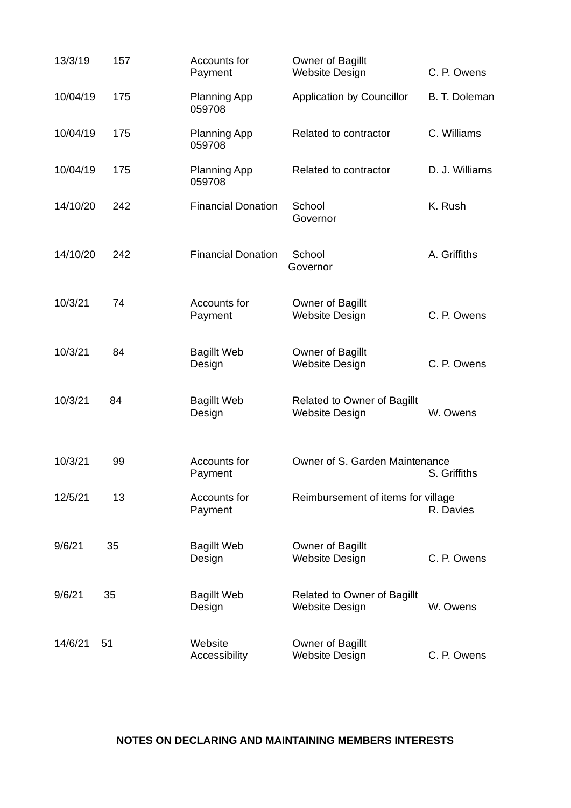| 13/3/19  | 157 | Accounts for<br>Payment       | Owner of Bagillt<br><b>Website Design</b>                   | C. P. Owens    |
|----------|-----|-------------------------------|-------------------------------------------------------------|----------------|
| 10/04/19 | 175 | <b>Planning App</b><br>059708 | <b>Application by Councillor</b>                            | B. T. Doleman  |
| 10/04/19 | 175 | <b>Planning App</b><br>059708 | Related to contractor                                       | C. Williams    |
| 10/04/19 | 175 | <b>Planning App</b><br>059708 | Related to contractor                                       | D. J. Williams |
| 14/10/20 | 242 | <b>Financial Donation</b>     | School<br>Governor                                          | K. Rush        |
| 14/10/20 | 242 | <b>Financial Donation</b>     | School<br>Governor                                          | A. Griffiths   |
| 10/3/21  | 74  | Accounts for<br>Payment       | Owner of Bagillt<br><b>Website Design</b>                   | C. P. Owens    |
| 10/3/21  | 84  | <b>Bagillt Web</b><br>Design  | Owner of Bagillt<br><b>Website Design</b>                   | C. P. Owens    |
| 10/3/21  | 84  | <b>Bagillt Web</b><br>Design  | <b>Related to Owner of Bagillt</b><br><b>Website Design</b> | W. Owens       |
| 10/3/21  | 99  | Accounts for<br>Payment       | Owner of S. Garden Maintenance<br>S. Griffiths              |                |
| 12/5/21  | 13  | Accounts for<br>Payment       | Reimbursement of items for village                          | R. Davies      |
| 9/6/21   | 35  | <b>Bagillt Web</b><br>Design  | Owner of Bagillt<br><b>Website Design</b>                   | C. P. Owens    |
| 9/6/21   | 35  | <b>Bagillt Web</b><br>Design  | <b>Related to Owner of Bagillt</b><br><b>Website Design</b> | W. Owens       |
| 14/6/21  | 51  | Website<br>Accessibility      | Owner of Bagillt<br><b>Website Design</b>                   | C. P. Owens    |

## **NOTES ON DECLARING AND MAINTAINING MEMBERS INTERESTS**